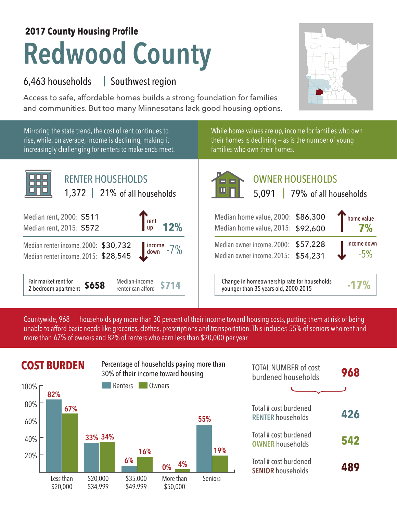## **Redwood County 2017 County Housing Profile**

## 6,463 households Southwest region |

Access to safe, affordable homes builds a strong foundation for families and communities. But too many Minnesotans lack good housing options.



Mirroring the state trend, the cost of rent continues to rise, while, on average, income is declining, making it increasingly challenging for renters to make ends meet.



While home values are up, income for families who own their homes is declining — as is the number of young families who own their homes.

| <b>RENTER HOUSEHOLDS</b><br>1,372   21% of all households                                                                  | OWNER HOUSEHOLDS<br>$\blacksquare$<br>5,091   79% of all households                                                                                                                                                              |  |  |  |
|----------------------------------------------------------------------------------------------------------------------------|----------------------------------------------------------------------------------------------------------------------------------------------------------------------------------------------------------------------------------|--|--|--|
| 000: \$511<br>$\int_{\text{up}}^{\text{rent}} 12\%$<br>015: \$572                                                          | home value<br>Median home value, 2000: \$86,300<br>Median home value, 2015: \$92,600                                                                                                                                             |  |  |  |
| ncome, 2000: \$30,732<br>$\underbrace{\hspace{1cm}}_{\hspace{1cm}\text{down}}^{\text{income}}$ -7%<br>come, 2015: \$28,545 | income down<br>Median owner income, 2000: \$57,228<br>$-5%$<br>Median owner income, 2015: \$54,231                                                                                                                               |  |  |  |
|                                                                                                                            | $\cdot$ . The contract of the contract of the contract of the contract of the contract of the contract of the contract of the contract of the contract of the contract of the contract of the contract of the contract of the co |  |  |  |

**\$714** Change in homeownership rate for households younger than 35 years old, 2000-2015 **-17%**

households pay more than 30 percent of their income toward housing costs, putting them at risk of being unable to afford basic needs like groceries, clothes, prescriptions and transportation. This includes 55% of seniors who rent and more than 67% of owners and 82% of renters who earn less than \$20,000 per year. Countywide, 968



|        | <b>COST BURDEN</b> |         |           | Percentage of households paying more than<br>30% of their income toward housing |         | <b>TOTAL NUMBER of cost</b><br>burdened households | 968 |
|--------|--------------------|---------|-----------|---------------------------------------------------------------------------------|---------|----------------------------------------------------|-----|
| 100% г | 82%                |         | Renters   | Owners                                                                          |         |                                                    |     |
| 80%    | 67%                |         |           |                                                                                 |         | Total # cost burdened<br><b>RENTER households</b>  | 426 |
| 60%    |                    |         |           |                                                                                 | 55%     |                                                    |     |
| 40%    |                    | 33% 34% |           |                                                                                 | 19%     | Total # cost burdened<br><b>OWNER households</b>   | 542 |
| 20%    |                    |         | 16%<br>6% | 4%<br>0%                                                                        |         | Total # cost burdened<br><b>SENIOR households</b>  | 489 |
|        | acc than           | LON NOV | 435 UUU   | More than                                                                       | Caniore |                                                    |     |